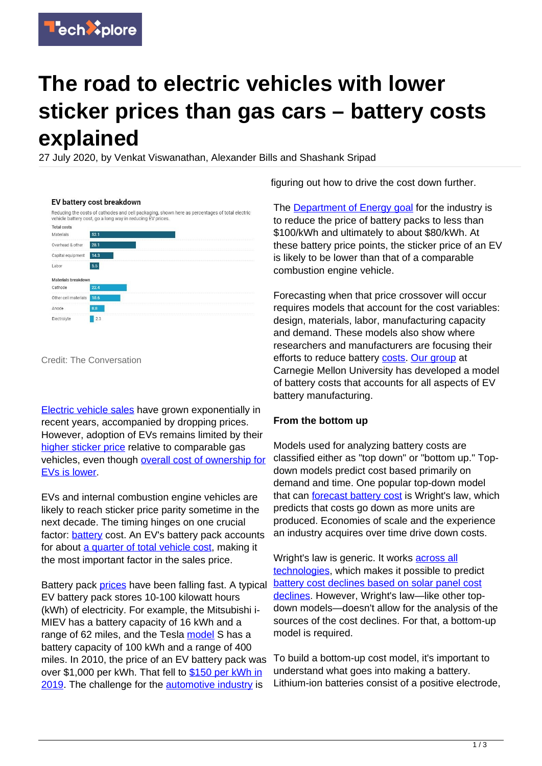

# **The road to electric vehicles with lower sticker prices than gas cars – battery costs explained**

27 July 2020, by Venkat Viswanathan, Alexander Bills and Shashank Sripad

|                      | vehicle battery cost, go a long way in reducing EV prices. | Reducing the costs of cathodes and cell packaging, shown here as percentages of total electric |
|----------------------|------------------------------------------------------------|------------------------------------------------------------------------------------------------|
| <b>Total costs</b>   |                                                            |                                                                                                |
| Materials            | 52.1                                                       |                                                                                                |
| Overhead & other     | 28.1                                                       |                                                                                                |
| Capital equipment    | 14.3                                                       |                                                                                                |
| Labor                | 5.5                                                        |                                                                                                |
| Materials breakdown  |                                                            |                                                                                                |
| Cathode              | 22.4                                                       |                                                                                                |
| Other cell materials | 18.6                                                       |                                                                                                |
| Anode                | 8.8                                                        |                                                                                                |
| Electrolyte          | 2.3                                                        |                                                                                                |

## EV battery cost breakdown

Credit: The Conversation

[Electric vehicle sales](https://www.woodmac.com/press-releases/global-electric-vehicle-sales-to-drop-43-in-2020/) have grown exponentially in recent years, accompanied by dropping prices. However, adoption of EVs remains limited by their [higher sticker price](https://www.digitaltrends.com/cars/even-elon-musk-thinks-tesla-cars-too-expensive/) relative to comparable gas vehicles, even though [overall cost of ownership for](https://cleantechnica.com/2020/03/28/check-out-this-electric-vehicle-total-cost-of-ownership-calculator/) [EVs is lower.](https://cleantechnica.com/2020/03/28/check-out-this-electric-vehicle-total-cost-of-ownership-calculator/)

EVs and internal combustion engine vehicles are likely to reach sticker price parity sometime in the next decade. The timing hinges on one crucial factor: [battery](https://techxplore.com/tags/battery/) cost. An EV's battery pack accounts for about [a quarter of total vehicle cost](https://theicct.org/sites/default/files/publications/EV_cost_2020_2030_20190401.pdf), making it the most important factor in the sales price.

Battery pack [prices](https://techxplore.com/tags/prices/) have been falling fast. A typical EV battery pack stores 10-100 kilowatt hours (kWh) of electricity. For example, the Mitsubishi i-MIEV has a battery capacity of 16 kWh and a range of 62 miles, and the Tesla [model](https://techxplore.com/tags/model/) S has a battery capacity of 100 kWh and a range of 400 miles. In 2010, the price of an EV battery pack was over \$1,000 per kWh. That fell to [\\$150 per kWh in](https://about.bnef.com/blog/battery-pack-prices-fall-as-market-ramps-up-with-market-average-at-156-kwh-in-2019/) [2019.](https://about.bnef.com/blog/battery-pack-prices-fall-as-market-ramps-up-with-market-average-at-156-kwh-in-2019/) The challenge for the [automotive industry](https://techxplore.com/tags/automotive+industry/) is

figuring out how to drive the cost down further.

The **Department of Energy goal** for the industry is to reduce the price of battery packs to less than \$100/kWh and ultimately to about \$80/kWh. At these battery price points, the sticker price of an EV is likely to be lower than that of a comparable combustion engine vehicle.

Forecasting when that price crossover will occur requires models that account for the cost variables: design, materials, labor, manufacturing capacity and demand. These models also show where researchers and manufacturers are focusing their efforts to reduce battery [costs](https://techxplore.com/tags/costs/). [Our group](https://www.andrew.cmu.edu/user/venkatv/) at Carnegie Mellon University has developed a model of battery costs that accounts for all aspects of EV battery manufacturing.

### **From the bottom up**

Models used for analyzing battery costs are classified either as "top down" or "bottom up." Topdown models predict cost based primarily on demand and time. One popular top-down model that can [forecast battery cost](https://ark-invest.com/analyst-research/wrights-law-predicts-teslas-gross-margin/) is Wright's law, which predicts that costs go down as more units are produced. Economies of scale and the experience an industry acquires over time drive down costs.

Wright's law is generic. It works **[across all](https://doi.org/10.1371/journal.pone.0052669)** [technologies](https://doi.org/10.1371/journal.pone.0052669), which makes it possible to predict [battery cost declines based on solar panel cost](https://www.vox.com/energy-and-environment/2019/8/9/20767886/renewable-energy-storage-cost-electricity) [declines.](https://www.vox.com/energy-and-environment/2019/8/9/20767886/renewable-energy-storage-cost-electricity) However, Wright's law-like other topdown models—doesn't allow for the analysis of the sources of the cost declines. For that, a bottom-up model is required.

To build a bottom-up cost model, it's important to understand what goes into making a battery. Lithium-ion batteries consist of a positive electrode,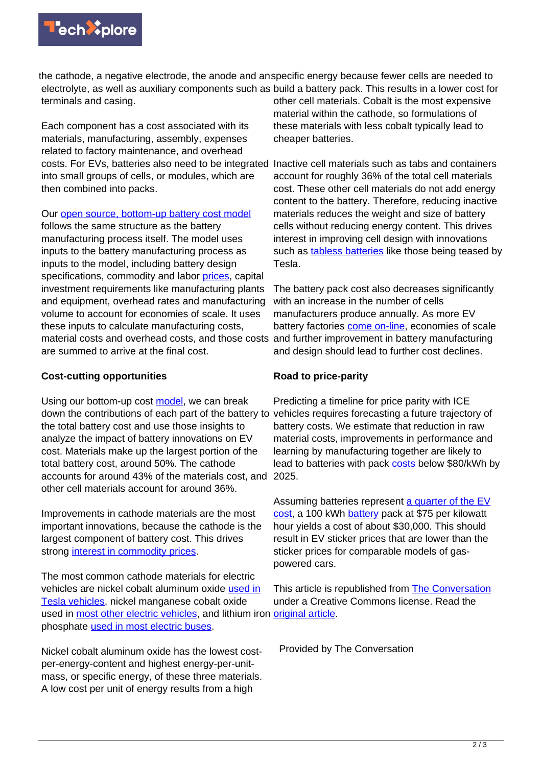

the cathode, a negative electrode, the anode and an specific energy because fewer cells are needed to electrolyte, as well as auxiliary components such as build a battery pack. This results in a lower cost for terminals and casing. other cell materials. Cobalt is the most expensive

Each component has a cost associated with its materials, manufacturing, assembly, expenses related to factory maintenance, and overhead costs. For EVs, batteries also need to be integrated into small groups of cells, or modules, which are then combined into packs.

Our [open source, bottom-up battery cost model](https://github.com/battmodels/BatteryCost)

follows the same structure as the battery manufacturing process itself. The model uses inputs to the battery manufacturing process as inputs to the model, including battery design specifications, commodity and labor [prices,](https://techxplore.com/tags/prices/) capital investment requirements like manufacturing plants and equipment, overhead rates and manufacturing volume to account for economies of scale. It uses these inputs to calculate manufacturing costs, material costs and overhead costs, and those costs are summed to arrive at the final cost.

#### **Cost-cutting opportunities**

Using our bottom-up cost [model](https://techxplore.com/tags/model/), we can break down the contributions of each part of the battery to vehicles requires forecasting a future trajectory of the total battery cost and use those insights to analyze the impact of battery innovations on EV cost. Materials make up the largest portion of the total battery cost, around 50%. The cathode accounts for around 43% of the materials cost, and 2025. other cell materials account for around 36%.

Improvements in cathode materials are the most important innovations, because the cathode is the largest component of battery cost. This drives strong [interest in commodity prices](https://www.mckinsey.com/~/media/mckinsey/industries/metals%20and%20mining/our%20insights/lithium%20and%20cobalt%20a%20tale%20of%20two%20commodities/lithium-and-cobalt-a-tale-of-two-commodities.ashx).

The most common cathode materials for electric vehicles are nickel cobalt aluminum oxide [used in](https://www.reuters.com/article/us-autos-tesla-batteries-exclusive/exclusive-teslas-secret-batteries-aim-to-rework-the-math-for-electric-cars-and-the-grid-idUSKBN22Q1WC) [Tesla vehicles](https://www.reuters.com/article/us-autos-tesla-batteries-exclusive/exclusive-teslas-secret-batteries-aim-to-rework-the-math-for-electric-cars-and-the-grid-idUSKBN22Q1WC), nickel manganese cobalt oxide used in [most other electric vehicles,](https://batteryuniversity.com/learn/article/types_of_lithium_ion) and lithium iron [original article](https://theconversation.com/the-road-to-electric-vehicles-with-lower-sticker-prices-than-gas-cars-battery-costs-explained-137196). phosphate [used in most electric buses](https://www.sustainable-bus.com/news/lfp-battery-industry-is-driven-by-chinese-electric-bus-market-reasons-for-a-dominance-bus/).

Nickel cobalt aluminum oxide has the lowest costper-energy-content and highest energy-per-unitmass, or specific energy, of these three materials. A low cost per unit of energy results from a high

material within the cathode, so formulations of these materials with less cobalt typically lead to cheaper batteries.

Inactive cell materials such as tabs and containers account for roughly 36% of the total cell materials cost. These other cell materials do not add energy content to the battery. Therefore, reducing inactive materials reduces the weight and size of battery cells without reducing energy content. This drives interest in improving cell design with innovations such as [tabless batteries](https://www.popularmechanics.com/science/a32433420/elon-musk-tesla-battery-cell-patent/) like those being teased by Tesla.

The battery pack cost also decreases significantly with an increase in the number of cells manufacturers produce annually. As more EV battery factories [come on-line,](https://www.benchmarkminerals.com/ev-battery-arms-race-enters-new-gear-with-115-megafactories-europe-sees-most-rapid-growth/) economies of scale and further improvement in battery manufacturing and design should lead to further cost declines.

### **Road to price-parity**

Predicting a timeline for price parity with ICE battery costs. We estimate that reduction in raw material costs, improvements in performance and learning by manufacturing together are likely to lead to batteries with pack [costs](https://techxplore.com/tags/costs/) below \$80/kWh by

Assuming batteries represent [a quarter of the EV](https://about.bnef.com/blog/electric-cars-reach-price-parity-2025/) [cost,](https://about.bnef.com/blog/electric-cars-reach-price-parity-2025/) a 100 kWh [battery](https://techxplore.com/tags/battery/) pack at \$75 per kilowatt hour yields a cost of about \$30,000. This should result in EV sticker prices that are lower than the sticker prices for comparable models of gaspowered cars.

This article is republished from [The Conversation](https://theconversation.com) under a Creative Commons license. Read the

Provided by The Conversation